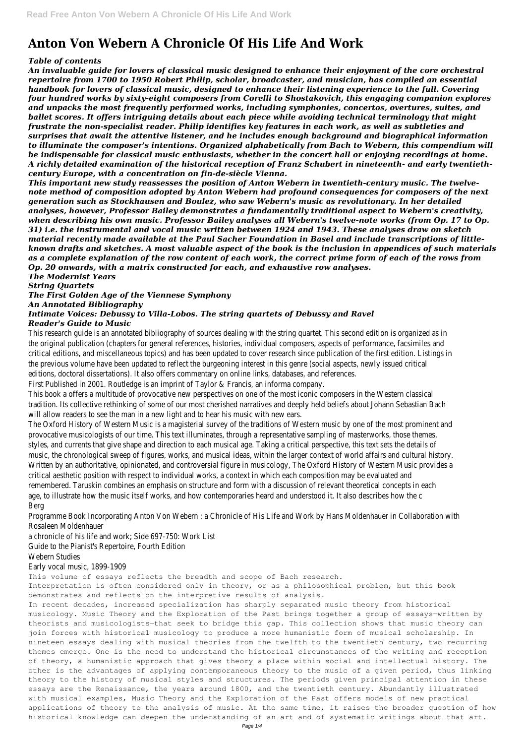# **Anton Von Webern A Chronicle Of His Life And Work**

## *Table of contents*

*An invaluable guide for lovers of classical music designed to enhance their enjoyment of the core orchestral repertoire from 1700 to 1950 Robert Philip, scholar, broadcaster, and musician, has compiled an essential handbook for lovers of classical music, designed to enhance their listening experience to the full. Covering four hundred works by sixty-eight composers from Corelli to Shostakovich, this engaging companion explores and unpacks the most frequently performed works, including symphonies, concertos, overtures, suites, and ballet scores. It offers intriguing details about each piece while avoiding technical terminology that might frustrate the non-specialist reader. Philip identifies key features in each work, as well as subtleties and surprises that await the attentive listener, and he includes enough background and biographical information to illuminate the composer's intentions. Organized alphabetically from Bach to Webern, this compendium will be indispensable for classical music enthusiasts, whether in the concert hall or enjoying recordings at home. A richly detailed examination of the historical reception of Franz Schubert in nineteenth- and early twentiethcentury Europe, with a concentration on fin-de-siècle Vienna.*

This research guide is an annotated bibliography of sources dealing with the string quartet. This second edition is organized as the original publication (chapters for general references, histories, individual composers, aspects of performance, facsimiles and critical editions, and miscellaneous topics) and has been updated to cover research since publication of the first edition. Listing the previous volume have been updated to reflect the burgeoning interest in this genre (social aspects, newly issued critical editions, doctoral dissertations). It also offers commentary on online links, databases, and references.

*This important new study reassesses the position of Anton Webern in twentieth-century music. The twelvenote method of composition adopted by Anton Webern had profound consequences for composers of the next generation such as Stockhausen and Boulez, who saw Webern's music as revolutionary. In her detailed analyses, however, Professor Bailey demonstrates a fundamentally traditional aspect to Webern's creativity, when describing his own music. Professor Bailey analyses all Webern's twelve-note works (from Op. 17 to Op. 31) i.e. the instrumental and vocal music written between 1924 and 1943. These analyses draw on sketch material recently made available at the Paul Sacher Foundation in Basel and include transcriptions of littleknown drafts and sketches. A most valuable aspect of the book is the inclusion in appendices of such materials as a complete explanation of the row content of each work, the correct prime form of each of the rows from Op. 20 onwards, with a matrix constructed for each, and exhaustive row analyses.*

The Oxford History of Western Music is a magisterial survey of the traditions of Western music by one of the most prominent provocative musicologists of our time. This text illuminates, through a representative sampling of masterworks, those themes, styles, and currents that give shape and direction to each musical age. Taking a critical perspective, this text sets the details o music, the chronological sweep of figures, works, and musical ideas, within the larger context of world affairs and cultural history. Written by an authoritative, opinionated, and controversial figure in musicology, The Oxford History of Western Music provides a critical aesthetic position with respect to individual works, a context in which each composition may be evaluated and remembered. Taruskin combines an emphasis on structure and form with a discussion of relevant theoretical concepts in each age, to illustrate how the music itself works, and how contemporaries heard and understood it. It also describes how the c Berg

*The Modernist Years String Quartets*

*The First Golden Age of the Viennese Symphony*

*An Annotated Bibliography*

#### *Intimate Voices: Debussy to Villa-Lobos. The string quartets of Debussy and Ravel Reader's Guide to Music*

First Published in 2001. Routledge is an imprint of Taylor & Francis, an informa company.

This book a offers a multitude of provocative new perspectives on one of the most iconic composers in the Western classical tradition. Its collective rethinking of some of our most cherished narratives and deeply held beliefs about Johann Sebastian Bach will allow readers to see the man in a new light and to hear his music with new ears.

Programme Book Incorporating Anton Von Webern : a Chronicle of His Life and Work by Hans Moldenhauer in Collaboration with Rosaleen Moldenhauer

a chronicle of his life and work; Side 697-750: Work List

Guide to the Pianist's Repertoire, Fourth Edition

Webern Studies

#### Early vocal music, 1899-1909

This volume of essays reflects the breadth and scope of Bach research.

Interpretation is often considered only in theory, or as a philosophical problem, but this book demonstrates and reflects on the interpretive results of analysis.

In recent decades, increased specialization has sharply separated music theory from historical musicology. Music Theory and the Exploration of the Past brings together a group of essays—written by theorists and musicologists—that seek to bridge this gap. This collection shows that music theory can join forces with historical musicology to produce a more humanistic form of musical scholarship. In nineteen essays dealing with musical theories from the twelfth to the twentieth century, two recurring themes emerge. One is the need to understand the historical circumstances of the writing and reception of theory, a humanistic approach that gives theory a place within social and intellectual history. The other is the advantages of applying contemporaneous theory to the music of a given period, thus linking theory to the history of musical styles and structures. The periods given principal attention in these essays are the Renaissance, the years around 1800, and the twentieth century. Abundantly illustrated with musical examples, Music Theory and the Exploration of the Past offers models of new practical applications of theory to the analysis of music. At the same time, it raises the broader question of how historical knowledge can deepen the understanding of an art and of systematic writings about that art.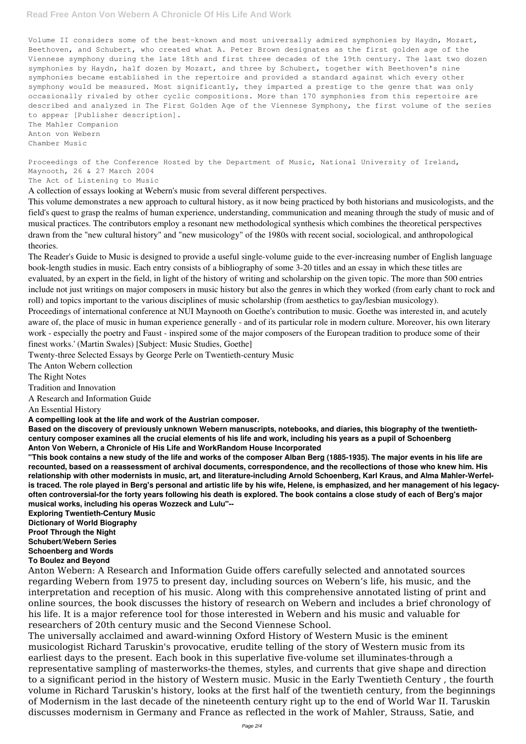### **Read Free Anton Von Webern A Chronicle Of His Life And Work**

Volume II considers some of the best-known and most universally admired symphonies by Haydn, Mozart, Beethoven, and Schubert, who created what A. Peter Brown designates as the first golden age of the Viennese symphony during the late 18th and first three decades of the 19th century. The last two dozen symphonies by Haydn, half dozen by Mozart, and three by Schubert, together with Beethoven's nine symphonies became established in the repertoire and provided a standard against which every other symphony would be measured. Most significantly, they imparted a prestige to the genre that was only occasionally rivaled by other cyclic compositions. More than 170 symphonies from this repertoire are described and analyzed in The First Golden Age of the Viennese Symphony, the first volume of the series to appear [Publisher description]. The Mahler Companion Anton von Webern

Chamber Music

Proceedings of the Conference Hosted by the Department of Music, National University of Ireland, Maynooth, 26 & 27 March 2004 The Act of Listening to Music

A collection of essays looking at Webern's music from several different perspectives.

This volume demonstrates a new approach to cultural history, as it now being practiced by both historians and musicologists, and the field's quest to grasp the realms of human experience, understanding, communication and meaning through the study of music and of musical practices. The contributors employ a resonant new methodological synthesis which combines the theoretical perspectives drawn from the "new cultural history" and "new musicology" of the 1980s with recent social, sociological, and anthropological theories.

The Reader's Guide to Music is designed to provide a useful single-volume guide to the ever-increasing number of English language book-length studies in music. Each entry consists of a bibliography of some 3-20 titles and an essay in which these titles are evaluated, by an expert in the field, in light of the history of writing and scholarship on the given topic. The more than 500 entries include not just writings on major composers in music history but also the genres in which they worked (from early chant to rock and roll) and topics important to the various disciplines of music scholarship (from aesthetics to gay/lesbian musicology).

Proceedings of international conference at NUI Maynooth on Goethe's contribution to music. Goethe was interested in, and acutely aware of, the place of music in human experience generally - and of its particular role in modern culture. Moreover, his own literary work - especially the poetry and Faust - inspired some of the major composers of the European tradition to produce some of their finest works.' (Martin Swales) [Subject: Music Studies, Goethe]

Twenty-three Selected Essays by George Perle on Twentieth-century Music

The Anton Webern collection

The Right Notes

Tradition and Innovation

A Research and Information Guide

An Essential History

**A compelling look at the life and work of the Austrian composer.**

**Based on the discovery of previously unknown Webern manuscripts, notebooks, and diaries, this biography of the twentiethcentury composer examines all the crucial elements of his life and work, including his years as a pupil of Schoenberg Anton Von Webern, a Chronicle of His Life and WorkRandom House Incorporated**

**"This book contains a new study of the life and works of the composer Alban Berg (1885-1935). The major events in his life are recounted, based on a reassessment of archival documents, correspondence, and the recollections of those who knew him. His relationship with other modernists in music, art, and literature-including Arnold Schoenberg, Karl Kraus, and Alma Mahler-Werfelis traced. The role played in Berg's personal and artistic life by his wife, Helene, is emphasized, and her management of his legacyoften controversial-for the forty years following his death is explored. The book contains a close study of each of Berg's major musical works, including his operas Wozzeck and Lulu"--**

**Exploring Twentieth-Century Music Dictionary of World Biography Proof Through the Night Schubert/Webern Series Schoenberg and Words To Boulez and Beyond**

Anton Webern: A Research and Information Guide offers carefully selected and annotated sources regarding Webern from 1975 to present day, including sources on Webern's life, his music, and the interpretation and reception of his music. Along with this comprehensive annotated listing of print and online sources, the book discusses the history of research on Webern and includes a brief chronology of his life. It is a major reference tool for those interested in Webern and his music and valuable for researchers of 20th century music and the Second Viennese School.

The universally acclaimed and award-winning Oxford History of Western Music is the eminent musicologist Richard Taruskin's provocative, erudite telling of the story of Western music from its earliest days to the present. Each book in this superlative five-volume set illuminates-through a representative sampling of masterworks-the themes, styles, and currents that give shape and direction to a significant period in the history of Western music. Music in the Early Twentieth Century , the fourth volume in Richard Taruskin's history, looks at the first half of the twentieth century, from the beginnings of Modernism in the last decade of the nineteenth century right up to the end of World War II. Taruskin discusses modernism in Germany and France as reflected in the work of Mahler, Strauss, Satie, and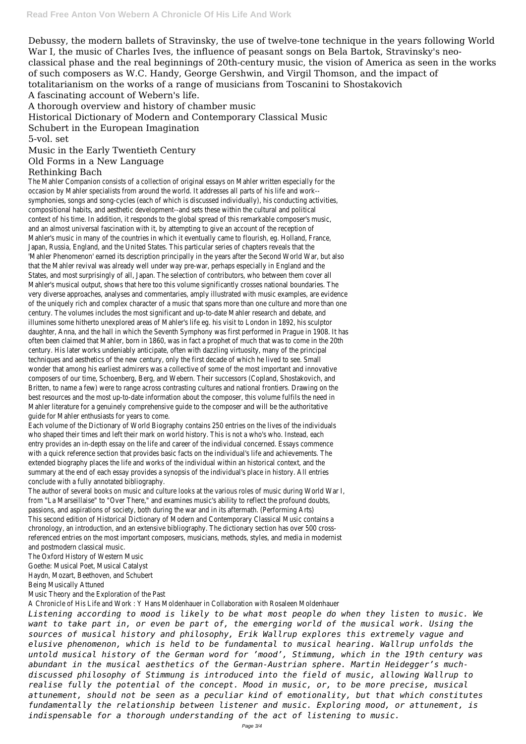Debussy, the modern ballets of Stravinsky, the use of twelve-tone technique in the years following World War I, the music of Charles Ives, the influence of peasant songs on Bela Bartok, Stravinsky's neoclassical phase and the real beginnings of 20th-century music, the vision of America as seen in the works of such composers as W.C. Handy, George Gershwin, and Virgil Thomson, and the impact of totalitarianism on the works of a range of musicians from Toscanini to Shostakovich A fascinating account of Webern's life.

A thorough overview and history of chamber music

Historical Dictionary of Modern and Contemporary Classical Music

Schubert in the European Imagination

5-vol. set

Music in the Early Twentieth Century

# Old Forms in a New Language

# Rethinking Bach

The Mahler Companion consists of a collection of original essays on Mahler written especially for the occasion by Mahler specialists from around the world. It addresses all parts of his life and work- symphonies, songs and song-cycles (each of which is discussed individually), his conducting activities, compositional habits, and aesthetic development--and sets these within the cultural and political context of his time. In addition, it responds to the global spread of this remarkable composer's music, and an almost universal fascination with it, by attempting to give an account of the reception of Mahler's music in many of the countries in which it eventually came to flourish, eg. Holland, France, Japan, Russia, England, and the United States. This particular series of chapters reveals that the 'Mahler Phenomenon' earned its description principally in the years after the Second World War, but also that the Mahler revival was already well under way pre-war, perhaps especially in England and the States, and most surprisingly of all, Japan. The selection of contributors, who between them cover all Mahler's musical output, shows that here too this volume significantly crosses national boundaries. The very diverse approaches, analyses and commentaries, amply illustrated with music examples, are evidence of the uniquely rich and complex character of a music that spans more than one culture and more than one century. The volumes includes the most significant and up-to-date Mahler research and debate, and illumines some hitherto unexplored areas of Mahler's life eg. his visit to London in 1892, his sculptor daughter, Anna, and the hall in which the Seventh Symphony was first performed in Prague in 1908. It has often been claimed that Mahler, born in 1860, was in fact a prophet of much that was to come in the 20th century. His later works undeniably anticipate, often with dazzling virtuosity, many of the principal techniques and aesthetics of the new century, only the first decade of which he lived to see. Small wonder that among his earliest admirers was a collective of some of the most important and innovative composers of our time, Schoenberg, Berg, and Webern. Their successors (Copland, Shostakovich, and Britten, to name a few) were to range across contrasting cultures and national frontiers. Drawing on the best resources and the most up-to-date information about the composer, this volume fulfils the need in Mahler literature for a genuinely comprehensive guide to the composer and will be the authoritative guide for Mahler enthusiasts for years to come.

Each volume of the Dictionary of World Biography contains 250 entries on the lives of the individuals who shaped their times and left their mark on world history. This is not a who's who. Instead, each entry provides an in-depth essay on the life and career of the individual concerned. Essays commence with a quick reference section that provides basic facts on the individual's life and achievements. The extended biography places the life and works of the individual within an historical context, and the summary at the end of each essay provides a synopsis of the individual's place in history. All entries conclude with a fully annotated bibliography.

The author of several books on music and culture looks at the various roles of music during World War I, from "La Marseillaise" to "Over There," and examines music's ability to reflect the profound doubts, passions, and aspirations of society, both during the war and in its aftermath. (Performing Arts) This second edition of Historical Dictionary of Modern and Contemporary Classical Music contains a chronology, an introduction, and an extensive bibliography. The dictionary section has over 500 crossreferenced entries on the most important composers, musicians, methods, styles, and media in modernist and postmodern classical music.

The Oxford History of Western Music

Goethe: Musical Poet, Musical Catalyst Haydn, Mozart, Beethoven, and Schubert Being Musically Attuned Music Theory and the Exploration of the Past A Chronicle of His Life and Work : Y Hans Moldenhauer in Collaboration with Rosaleen Moldenhauer *Listening according to mood is likely to be what most people do when they listen to music. We want to take part in, or even be part of, the emerging world of the musical work. Using the sources of musical history and philosophy, Erik Wallrup explores this extremely vague and elusive phenomenon, which is held to be fundamental to musical hearing. Wallrup unfolds the untold musical history of the German word for 'mood', Stimmung, which in the 19th century was abundant in the musical aesthetics of the German-Austrian sphere. Martin Heidegger's muchdiscussed philosophy of Stimmung is introduced into the field of music, allowing Wallrup to realise fully the potential of the concept. Mood in music, or, to be more precise, musical attunement, should not be seen as a peculiar kind of emotionality, but that which constitutes fundamentally the relationship between listener and music. Exploring mood, or attunement, is indispensable for a thorough understanding of the act of listening to music.*